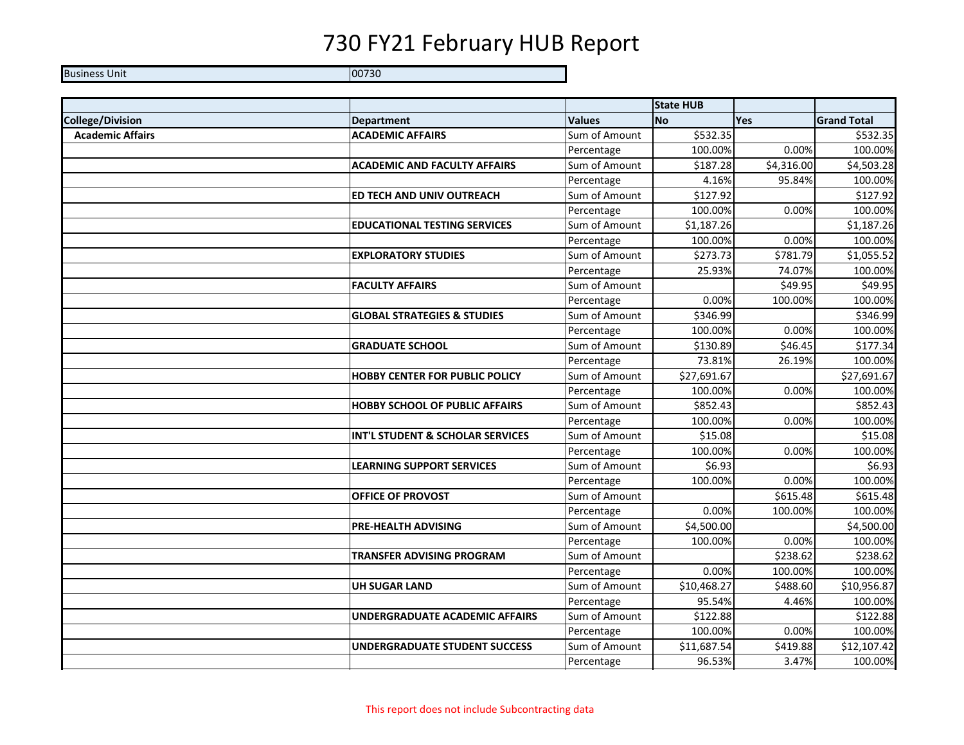Business Unit 200730

|                         |                                        |               | <b>State HUB</b> |            |                    |
|-------------------------|----------------------------------------|---------------|------------------|------------|--------------------|
| <b>College/Division</b> | <b>Department</b>                      | <b>Values</b> | <b>No</b>        | <b>Yes</b> | <b>Grand Total</b> |
| <b>Academic Affairs</b> | <b>ACADEMIC AFFAIRS</b>                | Sum of Amount | \$532.35         |            | \$532.35           |
|                         |                                        | Percentage    | 100.00%          | 0.00%      | 100.00%            |
|                         | <b>ACADEMIC AND FACULTY AFFAIRS</b>    | Sum of Amount | \$187.28         | \$4,316.00 | \$4,503.28         |
|                         |                                        | Percentage    | 4.16%            | 95.84%     | 100.00%            |
|                         | ED TECH AND UNIV OUTREACH              | Sum of Amount | \$127.92         |            | \$127.92           |
|                         |                                        | Percentage    | 100.00%          | 0.00%      | 100.00%            |
|                         | <b>EDUCATIONAL TESTING SERVICES</b>    | Sum of Amount | \$1,187.26       |            | \$1,187.26         |
|                         |                                        | Percentage    | 100.00%          | 0.00%      | 100.00%            |
|                         | <b>EXPLORATORY STUDIES</b>             | Sum of Amount | \$273.73         | \$781.79   | \$1,055.52         |
|                         |                                        | Percentage    | 25.93%           | 74.07%     | 100.00%            |
|                         | <b>FACULTY AFFAIRS</b>                 | Sum of Amount |                  | \$49.95    | \$49.95            |
|                         |                                        | Percentage    | 0.00%            | 100.00%    | 100.00%            |
|                         | <b>GLOBAL STRATEGIES &amp; STUDIES</b> | Sum of Amount | \$346.99         |            | \$346.99           |
|                         |                                        | Percentage    | 100.00%          | 0.00%      | 100.00%            |
|                         | <b>GRADUATE SCHOOL</b>                 | Sum of Amount | \$130.89         | \$46.45    | \$177.34           |
|                         |                                        | Percentage    | 73.81%           | 26.19%     | 100.00%            |
|                         | <b>HOBBY CENTER FOR PUBLIC POLICY</b>  | Sum of Amount | \$27,691.67      |            | \$27,691.67        |
|                         |                                        | Percentage    | 100.00%          | 0.00%      | 100.00%            |
|                         | <b>HOBBY SCHOOL OF PUBLIC AFFAIRS</b>  | Sum of Amount | \$852.43         |            | \$852.43           |
|                         |                                        | Percentage    | 100.00%          | 0.00%      | 100.00%            |
|                         | INT'L STUDENT & SCHOLAR SERVICES       | Sum of Amount | \$15.08          |            | \$15.08            |
|                         |                                        | Percentage    | 100.00%          | 0.00%      | 100.00%            |
|                         | <b>LEARNING SUPPORT SERVICES</b>       | Sum of Amount | \$6.93           |            | \$6.93             |
|                         |                                        | Percentage    | 100.00%          | 0.00%      | 100.00%            |
|                         | OFFICE OF PROVOST                      | Sum of Amount |                  | \$615.48   | \$615.48           |
|                         |                                        | Percentage    | 0.00%            | 100.00%    | 100.00%            |
|                         | PRE-HEALTH ADVISING                    | Sum of Amount | \$4,500.00       |            | \$4,500.00         |
|                         |                                        | Percentage    | 100.00%          | 0.00%      | 100.00%            |
|                         | <b>TRANSFER ADVISING PROGRAM</b>       | Sum of Amount |                  | \$238.62   | \$238.62           |
|                         |                                        | Percentage    | 0.00%            | 100.00%    | 100.00%            |
|                         | <b>UH SUGAR LAND</b>                   | Sum of Amount | \$10,468.27      | \$488.60   | \$10,956.87        |
|                         |                                        | Percentage    | 95.54%           | 4.46%      | 100.00%            |
|                         | UNDERGRADUATE ACADEMIC AFFAIRS         | Sum of Amount | \$122.88         |            | \$122.88           |
|                         |                                        | Percentage    | 100.00%          | 0.00%      | 100.00%            |
|                         | <b>UNDERGRADUATE STUDENT SUCCESS</b>   | Sum of Amount | \$11,687.54      | \$419.88   | \$12,107.42        |
|                         |                                        | Percentage    | 96.53%           | 3.47%      | 100.00%            |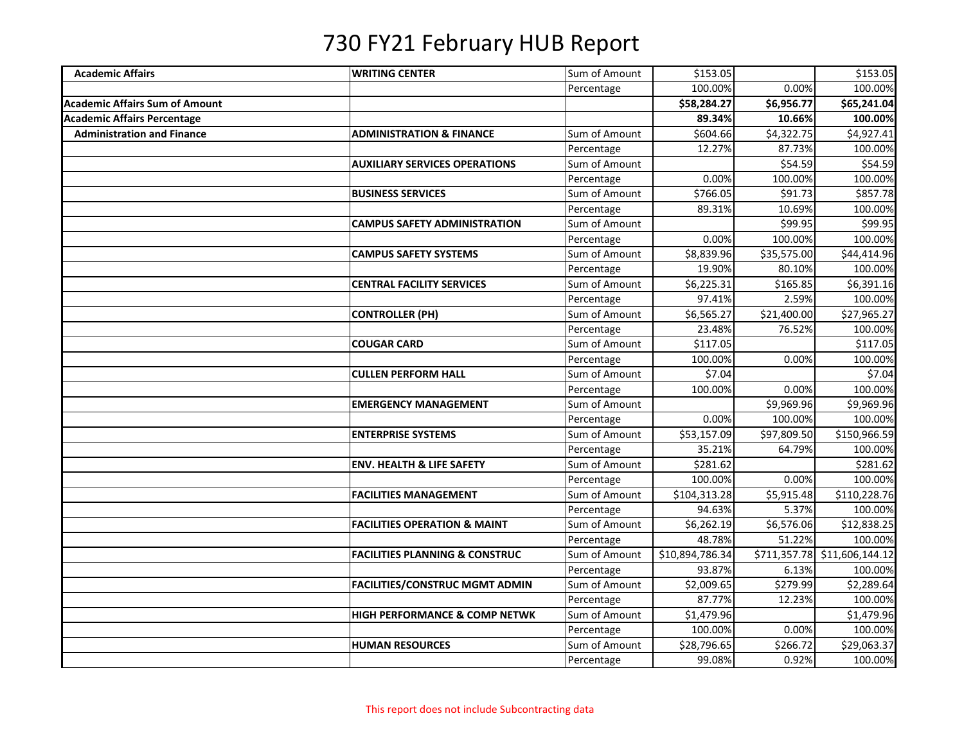| <b>Academic Affairs</b>               | <b>WRITING CENTER</b>                     | Sum of Amount | \$153.05        |             | \$153.05                     |
|---------------------------------------|-------------------------------------------|---------------|-----------------|-------------|------------------------------|
|                                       |                                           | Percentage    | 100.00%         | 0.00%       | 100.00%                      |
| <b>Academic Affairs Sum of Amount</b> |                                           |               | \$58,284.27     | \$6,956.77  | \$65,241.04                  |
| <b>Academic Affairs Percentage</b>    |                                           |               | 89.34%          | 10.66%      | 100.00%                      |
| <b>Administration and Finance</b>     | <b>ADMINISTRATION &amp; FINANCE</b>       | Sum of Amount | \$604.66        | \$4,322.75  | \$4,927.41                   |
|                                       |                                           | Percentage    | 12.27%          | 87.73%      | 100.00%                      |
|                                       | <b>AUXILIARY SERVICES OPERATIONS</b>      | Sum of Amount |                 | \$54.59     | \$54.59                      |
|                                       |                                           | Percentage    | 0.00%           | 100.00%     | 100.00%                      |
|                                       | <b>BUSINESS SERVICES</b>                  | Sum of Amount | \$766.05        | \$91.73     | \$857.78                     |
|                                       |                                           | Percentage    | 89.31%          | 10.69%      | 100.00%                      |
|                                       | <b>CAMPUS SAFETY ADMINISTRATION</b>       | Sum of Amount |                 | \$99.95     | \$99.95                      |
|                                       |                                           | Percentage    | 0.00%           | 100.00%     | 100.00%                      |
|                                       | <b>CAMPUS SAFETY SYSTEMS</b>              | Sum of Amount | \$8,839.96      | \$35,575.00 | \$44,414.96                  |
|                                       |                                           | Percentage    | 19.90%          | 80.10%      | 100.00%                      |
|                                       | <b>CENTRAL FACILITY SERVICES</b>          | Sum of Amount | \$6,225.31      | \$165.85    | \$6,391.16                   |
|                                       |                                           | Percentage    | 97.41%          | 2.59%       | 100.00%                      |
|                                       | <b>CONTROLLER (PH)</b>                    | Sum of Amount | \$6,565.27      | \$21,400.00 | \$27,965.27                  |
|                                       |                                           | Percentage    | 23.48%          | 76.52%      | 100.00%                      |
|                                       | <b>COUGAR CARD</b>                        | Sum of Amount | \$117.05        |             | \$117.05                     |
|                                       |                                           | Percentage    | 100.00%         | 0.00%       | 100.00%                      |
|                                       | <b>CULLEN PERFORM HALL</b>                | Sum of Amount | \$7.04          |             | \$7.04                       |
|                                       |                                           | Percentage    | 100.00%         | 0.00%       | 100.00%                      |
|                                       | <b>EMERGENCY MANAGEMENT</b>               | Sum of Amount |                 | \$9,969.96  | \$9,969.96                   |
|                                       |                                           | Percentage    | 0.00%           | 100.00%     | 100.00%                      |
|                                       | <b>ENTERPRISE SYSTEMS</b>                 | Sum of Amount | \$53,157.09     | \$97,809.50 | \$150,966.59                 |
|                                       |                                           | Percentage    | 35.21%          | 64.79%      | 100.00%                      |
|                                       | <b>ENV. HEALTH &amp; LIFE SAFETY</b>      | Sum of Amount | \$281.62        |             | \$281.62                     |
|                                       |                                           | Percentage    | 100.00%         | 0.00%       | 100.00%                      |
|                                       | <b>FACILITIES MANAGEMENT</b>              | Sum of Amount | \$104,313.28    | \$5,915.48  | \$110,228.76                 |
|                                       |                                           | Percentage    | 94.63%          | 5.37%       | 100.00%                      |
|                                       | <b>FACILITIES OPERATION &amp; MAINT</b>   | Sum of Amount | \$6,262.19      | \$6,576.06  | \$12,838.25                  |
|                                       |                                           | Percentage    | 48.78%          | 51.22%      | 100.00%                      |
|                                       | <b>FACILITIES PLANNING &amp; CONSTRUC</b> | Sum of Amount | \$10,894,786.34 |             | \$711,357.78 \$11,606,144.12 |
|                                       |                                           | Percentage    | 93.87%          | 6.13%       | 100.00%                      |
|                                       | <b>FACILITIES/CONSTRUC MGMT ADMIN</b>     | Sum of Amount | \$2,009.65      | \$279.99    | \$2,289.64                   |
|                                       |                                           | Percentage    | 87.77%          | 12.23%      | 100.00%                      |
|                                       | <b>HIGH PERFORMANCE &amp; COMP NETWK</b>  | Sum of Amount | \$1,479.96      |             | \$1,479.96                   |
|                                       |                                           | Percentage    | 100.00%         | 0.00%       | 100.00%                      |
|                                       | <b>HUMAN RESOURCES</b>                    | Sum of Amount | \$28,796.65     | \$266.72    | \$29,063.37                  |
|                                       |                                           | Percentage    | 99.08%          | 0.92%       | 100.00%                      |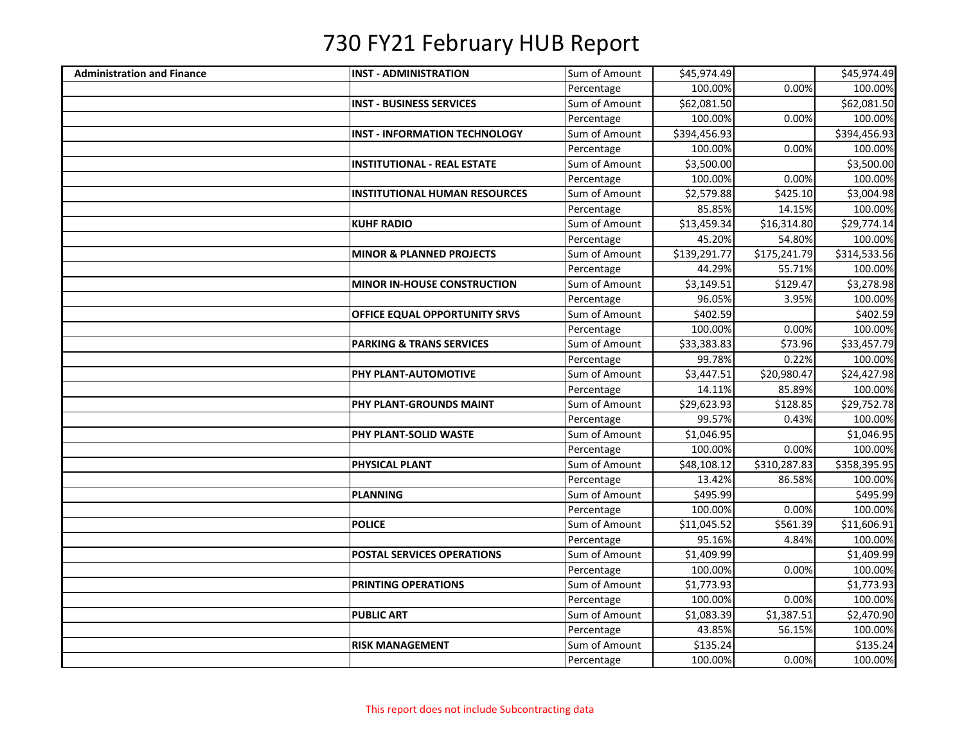| <b>Administration and Finance</b> | <b>INST - ADMINISTRATION</b>         | Sum of Amount | \$45,974.49  |              | \$45,974.49          |
|-----------------------------------|--------------------------------------|---------------|--------------|--------------|----------------------|
|                                   |                                      | Percentage    | 100.00%      | 0.00%        | 100.00%              |
|                                   | <b>INST - BUSINESS SERVICES</b>      | Sum of Amount | \$62,081.50  |              | \$62,081.50          |
|                                   |                                      | Percentage    | 100.00%      | 0.00%        | 100.00%              |
|                                   | <b>INST - INFORMATION TECHNOLOGY</b> | Sum of Amount | \$394,456.93 |              | \$394,456.93         |
|                                   |                                      | Percentage    | 100.00%      | 0.00%        | 100.00%              |
|                                   | <b>INSTITUTIONAL - REAL ESTATE</b>   | Sum of Amount | \$3,500.00   |              | \$3,500.00           |
|                                   |                                      | Percentage    | 100.00%      | 0.00%        | 100.00%              |
|                                   | <b>INSTITUTIONAL HUMAN RESOURCES</b> | Sum of Amount | \$2,579.88   | \$425.10     | \$3,004.98           |
|                                   |                                      | Percentage    | 85.85%       | 14.15%       | 100.00%              |
|                                   | <b>KUHF RADIO</b>                    | Sum of Amount | \$13,459.34  | \$16,314.80  | \$29,774.14          |
|                                   |                                      | Percentage    | 45.20%       | 54.80%       | 100.00%              |
|                                   | <b>MINOR &amp; PLANNED PROJECTS</b>  | Sum of Amount | \$139,291.77 | \$175,241.79 | \$314,533.56         |
|                                   |                                      | Percentage    | 44.29%       | 55.71%       | 100.00%              |
|                                   | MINOR IN-HOUSE CONSTRUCTION          | Sum of Amount | \$3,149.51   | \$129.47     | \$3,278.98           |
|                                   |                                      | Percentage    | 96.05%       | 3.95%        | 100.00%              |
|                                   | OFFICE EQUAL OPPORTUNITY SRVS        | Sum of Amount | \$402.59     |              | $\overline{$}402.59$ |
|                                   |                                      | Percentage    | 100.00%      | 0.00%        | 100.00%              |
|                                   | <b>PARKING &amp; TRANS SERVICES</b>  | Sum of Amount | \$33,383.83  | \$73.96      | \$33,457.79          |
|                                   |                                      | Percentage    | 99.78%       | 0.22%        | 100.00%              |
|                                   | PHY PLANT-AUTOMOTIVE                 | Sum of Amount | \$3,447.51   | \$20,980.47  | \$24,427.98          |
|                                   |                                      | Percentage    | 14.11%       | 85.89%       | 100.00%              |
|                                   | PHY PLANT-GROUNDS MAINT              | Sum of Amount | \$29,623.93  | \$128.85     | \$29,752.78          |
|                                   |                                      | Percentage    | 99.57%       | 0.43%        | 100.00%              |
|                                   | PHY PLANT-SOLID WASTE                | Sum of Amount | \$1,046.95   |              | \$1,046.95           |
|                                   |                                      | Percentage    | 100.00%      | 0.00%        | 100.00%              |
|                                   | PHYSICAL PLANT                       | Sum of Amount | \$48,108.12  | \$310,287.83 | \$358,395.95         |
|                                   |                                      | Percentage    | 13.42%       | 86.58%       | 100.00%              |
|                                   | <b>PLANNING</b>                      | Sum of Amount | \$495.99     |              | \$495.99             |
|                                   |                                      | Percentage    | 100.00%      | 0.00%        | 100.00%              |
|                                   | <b>POLICE</b>                        | Sum of Amount | \$11,045.52  | \$561.39     | \$11,606.91          |
|                                   |                                      | Percentage    | 95.16%       | 4.84%        | 100.00%              |
|                                   | <b>POSTAL SERVICES OPERATIONS</b>    | Sum of Amount | \$1,409.99   |              | \$1,409.99           |
|                                   |                                      | Percentage    | 100.00%      | 0.00%        | 100.00%              |
|                                   | PRINTING OPERATIONS                  | Sum of Amount | \$1,773.93   |              | \$1,773.93           |
|                                   |                                      | Percentage    | 100.00%      | 0.00%        | 100.00%              |
|                                   | <b>PUBLIC ART</b>                    | Sum of Amount | \$1,083.39   | \$1,387.51   | \$2,470.90           |
|                                   |                                      | Percentage    | 43.85%       | 56.15%       | 100.00%              |
|                                   | <b>RISK MANAGEMENT</b>               | Sum of Amount | \$135.24     |              | \$135.24             |
|                                   |                                      | Percentage    | 100.00%      | 0.00%        | 100.00%              |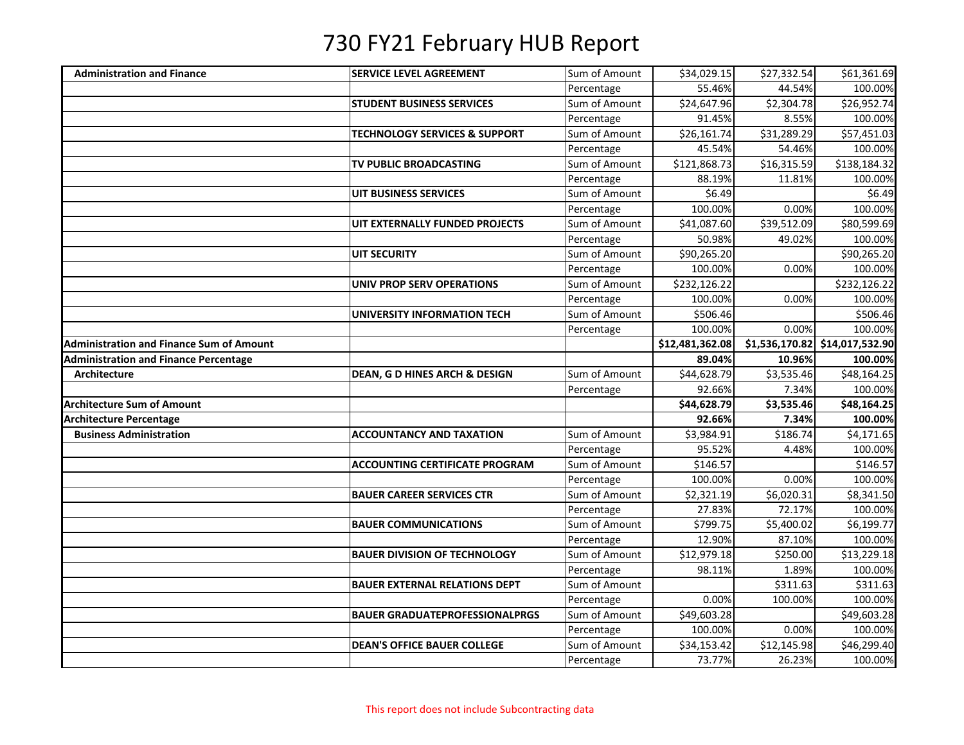| <b>Administration and Finance</b>               | <b>SERVICE LEVEL AGREEMENT</b>           | Sum of Amount               | \$34,029.15           | \$27,332.54           | \$61,361.69                    |
|-------------------------------------------------|------------------------------------------|-----------------------------|-----------------------|-----------------------|--------------------------------|
|                                                 |                                          | Percentage                  | 55.46%                | 44.54%                | 100.00%                        |
|                                                 | <b>STUDENT BUSINESS SERVICES</b>         | Sum of Amount               | \$24,647.96           | \$2,304.78            | \$26,952.74                    |
|                                                 |                                          | Percentage                  | 91.45%                | 8.55%                 | 100.00%                        |
|                                                 | <b>TECHNOLOGY SERVICES &amp; SUPPORT</b> | Sum of Amount               | \$26,161.74           | \$31,289.29           | \$57,451.03                    |
|                                                 |                                          | Percentage                  | 45.54%                | 54.46%                | 100.00%                        |
|                                                 | TV PUBLIC BROADCASTING                   | Sum of Amount               | \$121,868.73          | \$16,315.59           | \$138,184.32                   |
|                                                 |                                          | Percentage                  | 88.19%                | 11.81%                | 100.00%                        |
|                                                 | <b>UIT BUSINESS SERVICES</b>             | Sum of Amount               | \$6.49                |                       | \$6.49                         |
|                                                 |                                          | Percentage                  | 100.00%               | 0.00%                 | 100.00%                        |
|                                                 | UIT EXTERNALLY FUNDED PROJECTS           | Sum of Amount               | \$41,087.60           | 539,512.09            | \$80,599.69                    |
|                                                 |                                          | Percentage                  | 50.98%                | 49.02%                | 100.00%                        |
|                                                 | <b>UIT SECURITY</b>                      | Sum of Amount               | \$90,265.20           |                       | \$90,265.20                    |
|                                                 |                                          | Percentage                  | 100.00%               | 0.00%                 | 100.00%                        |
|                                                 | <b>UNIV PROP SERV OPERATIONS</b>         | Sum of Amount               | \$232,126.22          |                       | \$232,126.22                   |
|                                                 |                                          | Percentage                  | 100.00%               | 0.00%                 | 100.00%                        |
|                                                 | UNIVERSITY INFORMATION TECH              | Sum of Amount               | \$506.46              |                       | \$506.46                       |
|                                                 |                                          | Percentage                  | 100.00%               | 0.00%                 | 100.00%                        |
| <b>Administration and Finance Sum of Amount</b> |                                          |                             | \$12,481,362.08       |                       | \$1,536,170.82 \$14,017,532.90 |
| <b>Administration and Finance Percentage</b>    |                                          |                             | 89.04%                | 10.96%                | 100.00%                        |
| Architecture                                    | <b>DEAN, G D HINES ARCH &amp; DESIGN</b> | Sum of Amount               | \$44,628.79           | \$3,535.46            | \$48,164.25                    |
|                                                 |                                          | Percentage                  | 92.66%                | 7.34%                 | 100.00%                        |
| <b>Architecture Sum of Amount</b>               |                                          |                             | \$44,628.79           | \$3,535.46            | \$48,164.25                    |
| <b>Architecture Percentage</b>                  |                                          |                             | 92.66%                | 7.34%                 | 100.00%                        |
| <b>Business Administration</b>                  | <b>ACCOUNTANCY AND TAXATION</b>          | Sum of Amount               | \$3,984.91            | \$186.74              | \$4,171.65                     |
|                                                 |                                          | Percentage                  | 95.52%                | 4.48%                 | 100.00%                        |
|                                                 | <b>ACCOUNTING CERTIFICATE PROGRAM</b>    | Sum of Amount               | \$146.57              |                       | \$146.57                       |
|                                                 |                                          | Percentage                  | 100.00%               | 0.00%                 | 100.00%                        |
|                                                 | <b>BAUER CAREER SERVICES CTR</b>         | Sum of Amount               | \$2,321.19            | \$6,020.31            | \$8,341.50                     |
|                                                 |                                          | Percentage                  | 27.83%                | 72.17%                | 100.00%                        |
|                                                 | <b>BAUER COMMUNICATIONS</b>              | Sum of Amount               | \$799.75              | \$5,400.02            | \$6,199.77                     |
|                                                 |                                          | Percentage                  | 12.90%                | 87.10%                | 100.00%                        |
|                                                 | <b>BAUER DIVISION OF TECHNOLOGY</b>      | Sum of Amount               | \$12,979.18           | \$250.00              | \$13,229.18                    |
|                                                 |                                          | Percentage                  | 98.11%                | 1.89%                 | 100.00%                        |
|                                                 | <b>BAUER EXTERNAL RELATIONS DEPT</b>     | Sum of Amount               |                       | \$311.63              | \$311.63                       |
|                                                 |                                          | Percentage                  | 0.00%                 | 100.00%               | 100.00%                        |
|                                                 |                                          | Sum of Amount               | \$49,603.28           |                       | \$49,603.28                    |
|                                                 | <b>BAUER GRADUATEPROFESSIONALPRGS</b>    |                             |                       |                       |                                |
|                                                 |                                          | Percentage                  | 100.00%               | 0.00%                 | 100.00%                        |
|                                                 | <b>DEAN'S OFFICE BAUER COLLEGE</b>       | Sum of Amount<br>Percentage | \$34,153.42<br>73.77% | \$12,145.98<br>26.23% | \$46,299.40<br>100.00%         |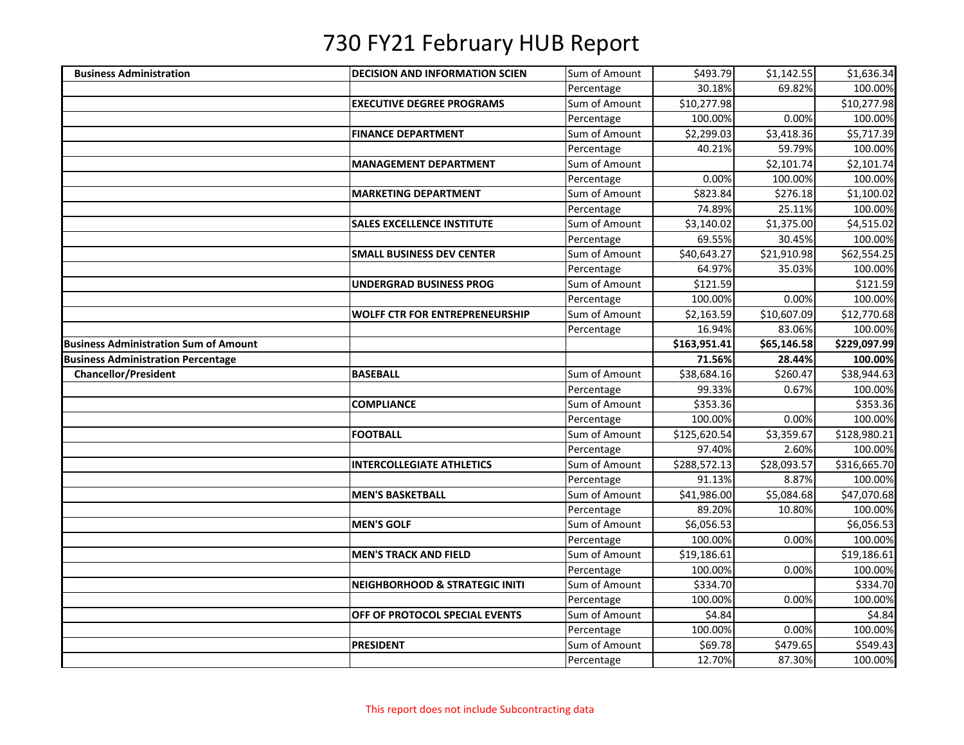| Sum of Amount<br>\$493.79<br><b>Business Administration</b><br><b>DECISION AND INFORMATION SCIEN</b> |             |              |
|------------------------------------------------------------------------------------------------------|-------------|--------------|
|                                                                                                      | \$1,142.55  | \$1,636.34   |
| 30.18%<br>Percentage                                                                                 | 69.82%      | 100.00%      |
| \$10,277.98<br><b>EXECUTIVE DEGREE PROGRAMS</b><br>Sum of Amount                                     |             | \$10,277.98  |
| Percentage<br>100.00%                                                                                | 0.00%       | 100.00%      |
| Sum of Amount<br>\$2,299.03<br><b>FINANCE DEPARTMENT</b>                                             | \$3,418.36  | \$5,717.39   |
| Percentage<br>40.21%                                                                                 | 59.79%      | 100.00%      |
| Sum of Amount<br><b>MANAGEMENT DEPARTMENT</b>                                                        | \$2,101.74  | \$2,101.74   |
| 0.00%<br>Percentage                                                                                  | 100.00%     | 100.00%      |
| \$823.84<br>Sum of Amount<br><b>MARKETING DEPARTMENT</b>                                             | \$276.18    | \$1,100.02   |
| Percentage<br>74.89%                                                                                 | 25.11%      | 100.00%      |
| <b>SALES EXCELLENCE INSTITUTE</b><br>Sum of Amount<br>\$3,140.02                                     | \$1,375.00  | \$4,515.02   |
| Percentage<br>69.55%                                                                                 | 30.45%      | 100.00%      |
| Sum of Amount<br>\$40,643.27<br><b>SMALL BUSINESS DEV CENTER</b>                                     | \$21,910.98 | \$62,554.25  |
| Percentage<br>64.97%                                                                                 | 35.03%      | 100.00%      |
| Sum of Amount<br>UNDERGRAD BUSINESS PROG<br>\$121.59                                                 |             | \$121.59     |
| 100.00%<br>Percentage                                                                                | 0.00%       | 100.00%      |
| Sum of Amount<br><b>WOLFF CTR FOR ENTREPRENEURSHIP</b><br>\$2,163.59                                 | \$10,607.09 | \$12,770.68  |
| 16.94%<br>Percentage                                                                                 | 83.06%      | 100.00%      |
| \$163,951.41<br><b>Business Administration Sum of Amount</b>                                         | \$65,146.58 | \$229,097.99 |
| <b>Business Administration Percentage</b><br>71.56%                                                  | 28.44%      | 100.00%      |
| <b>BASEBALL</b><br>Sum of Amount<br><b>Chancellor/President</b><br>\$38,684.16                       | \$260.47    | \$38,944.63  |
| 99.33%<br>Percentage                                                                                 | 0.67%       | 100.00%      |
| Sum of Amount<br>\$353.36<br><b>COMPLIANCE</b>                                                       |             | \$353.36     |
| 100.00%<br>Percentage                                                                                | 0.00%       | 100.00%      |
| <b>FOOTBALL</b><br>Sum of Amount<br>\$125,620.54                                                     |             |              |
|                                                                                                      | \$3,359.67  | \$128,980.21 |
| 97.40%<br>Percentage                                                                                 | 2.60%       | 100.00%      |
| Sum of Amount<br>\$288,572.13<br><b>INTERCOLLEGIATE ATHLETICS</b>                                    | \$28,093.57 | \$316,665.70 |
| Percentage<br>91.13%                                                                                 | 8.87%       | 100.00%      |
| <b>MEN'S BASKETBALL</b><br>Sum of Amount<br>\$41,986.00                                              | \$5,084.68  | \$47,070.68  |
| 89.20%<br>Percentage                                                                                 | 10.80%      | 100.00%      |
| Sum of Amount<br><b>MEN'S GOLF</b><br>\$6,056.53                                                     |             | \$6,056.53   |
| Percentage<br>100.00%                                                                                | 0.00%       | 100.00%      |
| Sum of Amount<br>\$19,186.61<br><b>MEN'S TRACK AND FIELD</b>                                         |             | \$19,186.61  |
| 100.00%<br>Percentage                                                                                | 0.00%       | 100.00%      |
| Sum of Amount<br>\$334.70<br><b>NEIGHBORHOOD &amp; STRATEGIC INITI</b>                               |             | \$334.70     |
| 100.00%<br>Percentage                                                                                | 0.00%       | 100.00%      |
| Sum of Amount<br>\$4.84<br>OFF OF PROTOCOL SPECIAL EVENTS                                            |             | \$4.84       |
| 100.00%<br>Percentage                                                                                | 0.00%       | 100.00%      |
| <b>PRESIDENT</b><br>Sum of Amount<br>\$69.78                                                         | \$479.65    | \$549.43     |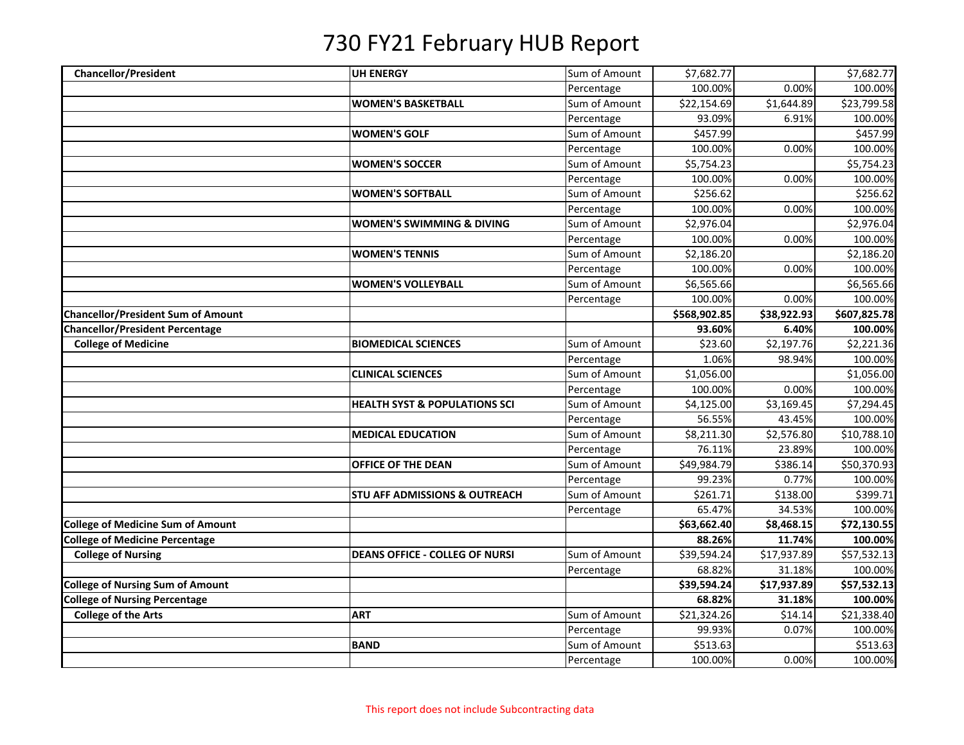| <b>Chancellor/President</b>               | <b>UH ENERGY</b>                         | Sum of Amount | \$7,682.77             |             | \$7,682.77   |
|-------------------------------------------|------------------------------------------|---------------|------------------------|-------------|--------------|
|                                           |                                          | Percentage    | 100.00%                | 0.00%       | 100.00%      |
|                                           | <b>WOMEN'S BASKETBALL</b>                | Sum of Amount | \$22,154.69            | \$1,644.89  | \$23,799.58  |
|                                           |                                          | Percentage    | 93.09%                 | 6.91%       | 100.00%      |
|                                           | <b>WOMEN'S GOLF</b>                      | Sum of Amount | \$457.99               |             | \$457.99     |
|                                           |                                          | Percentage    | 100.00%                | 0.00%       | 100.00%      |
|                                           | <b>WOMEN'S SOCCER</b>                    | Sum of Amount | \$5,754.23             |             | \$5,754.23   |
|                                           |                                          | Percentage    | 100.00%                | 0.00%       | 100.00%      |
|                                           | <b>WOMEN'S SOFTBALL</b>                  | Sum of Amount | \$256.62               |             | \$256.62     |
|                                           |                                          | Percentage    | 100.00%                | 0.00%       | 100.00%      |
|                                           | <b>WOMEN'S SWIMMING &amp; DIVING</b>     | Sum of Amount | \$2,976.04             |             | \$2,976.04   |
|                                           |                                          | Percentage    | 100.00%                | 0.00%       | 100.00%      |
|                                           | <b>WOMEN'S TENNIS</b>                    | Sum of Amount | \$2,186.20             |             | \$2,186.20   |
|                                           |                                          | Percentage    | 100.00%                | 0.00%       | 100.00%      |
|                                           | <b>WOMEN'S VOLLEYBALL</b>                | Sum of Amount | \$6,565.66             |             | \$6,565.66   |
|                                           |                                          | Percentage    | 100.00%                | 0.00%       | 100.00%      |
| <b>Chancellor/President Sum of Amount</b> |                                          |               | \$568,902.85           | \$38,922.93 | \$607,825.78 |
| <b>Chancellor/President Percentage</b>    |                                          |               | 93.60%                 | 6.40%       | 100.00%      |
| <b>College of Medicine</b>                | <b>BIOMEDICAL SCIENCES</b>               | Sum of Amount | \$23.60                | \$2,197.76  | \$2,221.36   |
|                                           |                                          | Percentage    | 1.06%                  | 98.94%      | 100.00%      |
|                                           | <b>CLINICAL SCIENCES</b>                 | Sum of Amount | \$1,056.00             |             | \$1,056.00   |
|                                           |                                          | Percentage    | 100.00%                | 0.00%       | 100.00%      |
|                                           | <b>HEALTH SYST &amp; POPULATIONS SCI</b> | Sum of Amount | \$4,125.00             | \$3,169.45  | \$7,294.45   |
|                                           |                                          | Percentage    | 56.55%                 | 43.45%      | 100.00%      |
|                                           | <b>MEDICAL EDUCATION</b>                 | Sum of Amount | $\overline{$8,211.30}$ | \$2,576.80  | \$10,788.10  |
|                                           |                                          | Percentage    | 76.11%                 | 23.89%      | 100.00%      |
|                                           | OFFICE OF THE DEAN                       | Sum of Amount | \$49,984.79            | \$386.14    | \$50,370.93  |
|                                           |                                          | Percentage    | 99.23%                 | 0.77%       | 100.00%      |
|                                           | <b>STU AFF ADMISSIONS &amp; OUTREACH</b> | Sum of Amount | \$261.71               | \$138.00    | \$399.71     |
|                                           |                                          | Percentage    | 65.47%                 | 34.53%      | 100.00%      |
| <b>College of Medicine Sum of Amount</b>  |                                          |               | \$63,662.40            | \$8,468.15  | \$72,130.55  |
| <b>College of Medicine Percentage</b>     |                                          |               | 88.26%                 | 11.74%      | 100.00%      |
| <b>College of Nursing</b>                 | <b>DEANS OFFICE - COLLEG OF NURSI</b>    | Sum of Amount | \$39,594.24            | \$17,937.89 | \$57,532.13  |
|                                           |                                          | Percentage    | 68.82%                 | 31.18%      | 100.00%      |
| <b>College of Nursing Sum of Amount</b>   |                                          |               | \$39,594.24            | \$17,937.89 | \$57,532.13  |
| <b>College of Nursing Percentage</b>      |                                          |               | 68.82%                 | 31.18%      | 100.00%      |
| <b>College of the Arts</b>                | <b>ART</b>                               | Sum of Amount | \$21,324.26            | \$14.14     | \$21,338.40  |
|                                           |                                          | Percentage    | 99.93%                 | 0.07%       | 100.00%      |
|                                           | <b>BAND</b>                              | Sum of Amount | \$513.63               |             | \$513.63     |
|                                           |                                          | Percentage    | 100.00%                | 0.00%       | 100.00%      |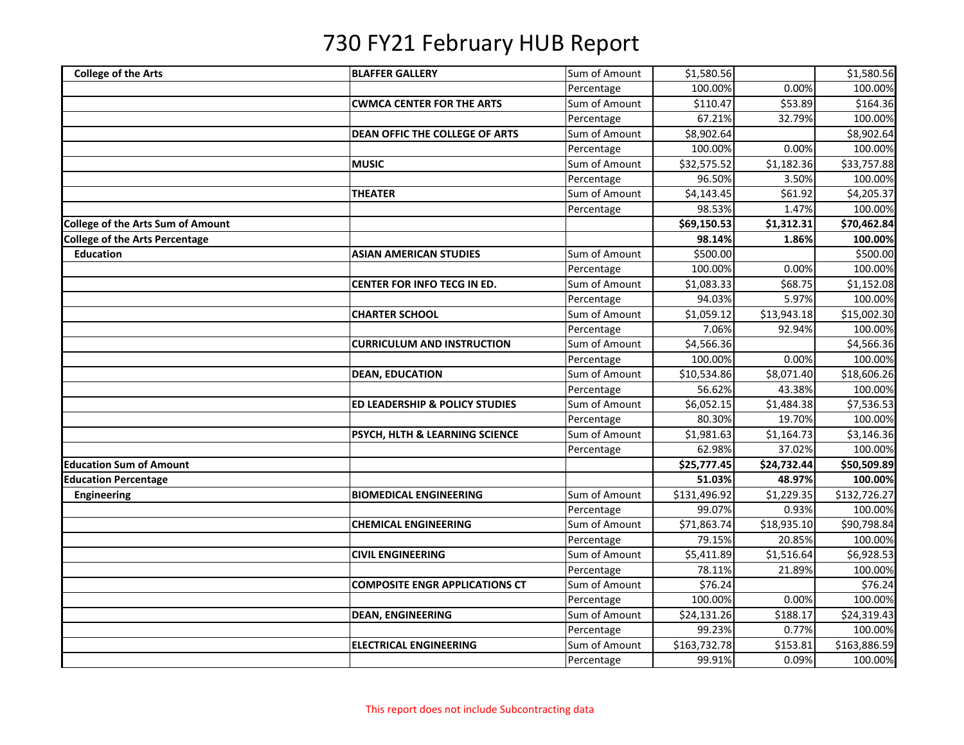| <b>College of the Arts</b>               | <b>BLAFFER GALLERY</b>                    | Sum of Amount | \$1,580.56   |             | \$1,580.56   |
|------------------------------------------|-------------------------------------------|---------------|--------------|-------------|--------------|
|                                          |                                           | Percentage    | 100.00%      | 0.00%       | 100.00%      |
|                                          | <b>CWMCA CENTER FOR THE ARTS</b>          | Sum of Amount | \$110.47     | \$53.89     | \$164.36     |
|                                          |                                           | Percentage    | 67.21%       | 32.79%      | 100.00%      |
|                                          | DEAN OFFIC THE COLLEGE OF ARTS            | Sum of Amount | \$8,902.64   |             | \$8,902.64   |
|                                          |                                           | Percentage    | 100.00%      | 0.00%       | 100.00%      |
|                                          | <b>MUSIC</b>                              | Sum of Amount | \$32,575.52  | \$1,182.36  | \$33,757.88  |
|                                          |                                           | Percentage    | 96.50%       | 3.50%       | 100.00%      |
|                                          | <b>THEATER</b>                            | Sum of Amount | \$4,143.45   | \$61.92     | \$4,205.37   |
|                                          |                                           | Percentage    | 98.53%       | 1.47%       | 100.00%      |
| <b>College of the Arts Sum of Amount</b> |                                           |               | \$69,150.53  | \$1,312.31  | \$70,462.84  |
| College of the Arts Percentage           |                                           |               | 98.14%       | 1.86%       | 100.00%      |
| <b>Education</b>                         | <b>ASIAN AMERICAN STUDIES</b>             | Sum of Amount | \$500.00     |             | \$500.00     |
|                                          |                                           | Percentage    | 100.00%      | 0.00%       | 100.00%      |
|                                          | CENTER FOR INFO TECG IN ED.               | Sum of Amount | \$1,083.33   | \$68.75     | \$1,152.08   |
|                                          |                                           | Percentage    | 94.03%       | 5.97%       | 100.00%      |
|                                          | <b>CHARTER SCHOOL</b>                     | Sum of Amount | \$1,059.12   | \$13,943.18 | \$15,002.30  |
|                                          |                                           | Percentage    | 7.06%        | 92.94%      | 100.00%      |
|                                          | <b>CURRICULUM AND INSTRUCTION</b>         | Sum of Amount | \$4,566.36   |             | \$4,566.36   |
|                                          |                                           | Percentage    | 100.00%      | 0.00%       | 100.00%      |
|                                          | <b>DEAN, EDUCATION</b>                    | Sum of Amount | \$10,534.86  | \$8,071.40  | \$18,606.26  |
|                                          |                                           | Percentage    | 56.62%       | 43.38%      | 100.00%      |
|                                          | <b>ED LEADERSHIP &amp; POLICY STUDIES</b> | Sum of Amount | \$6,052.15   | \$1,484.38  | \$7,536.53   |
|                                          |                                           | Percentage    | 80.30%       | 19.70%      | 100.00%      |
|                                          | PSYCH, HLTH & LEARNING SCIENCE            | Sum of Amount | \$1,981.63   | \$1,164.73  | \$3,146.36   |
|                                          |                                           | Percentage    | 62.98%       | 37.02%      | 100.00%      |
| <b>Education Sum of Amount</b>           |                                           |               | \$25,777.45  | \$24,732.44 | \$50,509.89  |
| <b>Education Percentage</b>              |                                           |               | 51.03%       | 48.97%      | 100.00%      |
| Engineering                              | <b>BIOMEDICAL ENGINEERING</b>             | Sum of Amount | \$131,496.92 | \$1,229.35  | \$132,726.27 |
|                                          |                                           | Percentage    | 99.07%       | 0.93%       | 100.00%      |
|                                          | <b>CHEMICAL ENGINEERING</b>               | Sum of Amount | \$71,863.74  | \$18,935.10 | \$90,798.84  |
|                                          |                                           | Percentage    | 79.15%       | 20.85%      | 100.00%      |
|                                          | <b>CIVIL ENGINEERING</b>                  | Sum of Amount | \$5,411.89   | \$1,516.64  | \$6,928.53   |
|                                          |                                           | Percentage    | 78.11%       | 21.89%      | 100.00%      |
|                                          | <b>COMPOSITE ENGR APPLICATIONS CT</b>     | Sum of Amount | \$76.24      |             | \$76.24      |
|                                          |                                           | Percentage    | 100.00%      | 0.00%       | 100.00%      |
|                                          | <b>DEAN, ENGINEERING</b>                  | Sum of Amount | \$24,131.26  | \$188.17    | \$24,319.43  |
|                                          |                                           | Percentage    | 99.23%       | 0.77%       | 100.00%      |
|                                          | <b>ELECTRICAL ENGINEERING</b>             | Sum of Amount | \$163,732.78 | \$153.81    | \$163,886.59 |
|                                          |                                           | Percentage    | 99.91%       | 0.09%       | 100.00%      |
|                                          |                                           |               |              |             |              |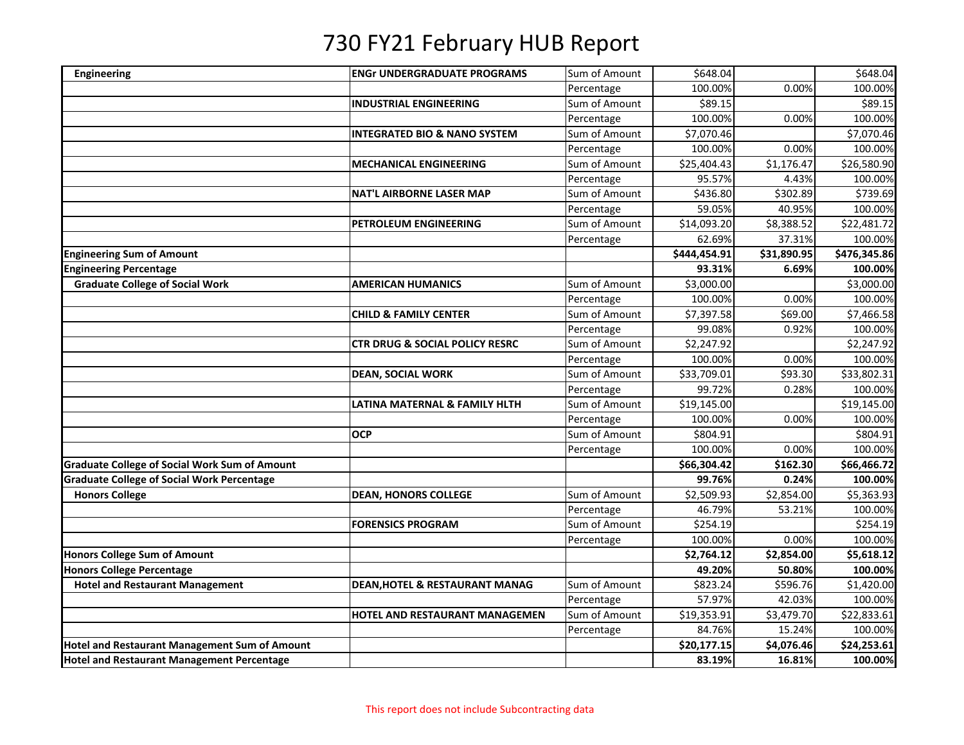| <b>Engineering</b>                                   | <b>ENGr UNDERGRADUATE PROGRAMS</b>        | Sum of Amount | \$648.04               |             | \$648.04                |
|------------------------------------------------------|-------------------------------------------|---------------|------------------------|-------------|-------------------------|
|                                                      |                                           | Percentage    | 100.00%                | 0.00%       | 100.00%                 |
|                                                      | <b>INDUSTRIAL ENGINEERING</b>             | Sum of Amount | \$89.15                |             | \$89.15                 |
|                                                      |                                           | Percentage    | 100.00%                | 0.00%       | 100.00%                 |
|                                                      | <b>INTEGRATED BIO &amp; NANO SYSTEM</b>   | Sum of Amount | \$7,070.46             |             | \$7,070.46              |
|                                                      |                                           | Percentage    | 100.00%                | 0.00%       | 100.00%                 |
|                                                      | <b>MECHANICAL ENGINEERING</b>             | Sum of Amount | \$25,404.43            | \$1,176.47  | \$26,580.90             |
|                                                      |                                           | Percentage    | 95.57%                 | 4.43%       | 100.00%                 |
|                                                      | <b>NAT'L AIRBORNE LASER MAP</b>           | Sum of Amount | \$436.80               | \$302.89    | \$739.69                |
|                                                      |                                           | Percentage    | 59.05%                 | 40.95%      | 100.00%                 |
|                                                      | PETROLEUM ENGINEERING                     | Sum of Amount | \$14,093.20            | \$8,388.52  | \$22,481.72             |
|                                                      |                                           | Percentage    | 62.69%                 | 37.31%      | 100.00%                 |
| <b>Engineering Sum of Amount</b>                     |                                           |               | \$444,454.91           | \$31,890.95 | \$476,345.86            |
| <b>Engineering Percentage</b>                        |                                           |               | 93.31%                 | 6.69%       | 100.00%                 |
| <b>Graduate College of Social Work</b>               | <b>AMERICAN HUMANICS</b>                  | Sum of Amount | \$3,000.00             |             | \$3,000.00              |
|                                                      |                                           | Percentage    | 100.00%                | 0.00%       | 100.00%                 |
|                                                      | <b>CHILD &amp; FAMILY CENTER</b>          | Sum of Amount | \$7,397.58             | \$69.00     | \$7,466.58              |
|                                                      |                                           | Percentage    | 99.08%                 | 0.92%       | 100.00%                 |
|                                                      | <b>CTR DRUG &amp; SOCIAL POLICY RESRC</b> | Sum of Amount | $\overline{$}2,247.92$ |             | \$2,247.92              |
|                                                      |                                           | Percentage    | 100.00%                | 0.00%       | 100.00%                 |
|                                                      | <b>DEAN, SOCIAL WORK</b>                  | Sum of Amount | \$33,709.01            | \$93.30     | $$33,802.\overline{31}$ |
|                                                      |                                           | Percentage    | 99.72%                 | 0.28%       | 100.00%                 |
|                                                      | LATINA MATERNAL & FAMILY HLTH             | Sum of Amount | \$19,145.00            |             | \$19,145.00             |
|                                                      |                                           | Percentage    | 100.00%                | 0.00%       | 100.00%                 |
|                                                      | <b>OCP</b>                                | Sum of Amount | \$804.91               |             | \$804.91                |
|                                                      |                                           | Percentage    | 100.00%                | 0.00%       | 100.00%                 |
| <b>Graduate College of Social Work Sum of Amount</b> |                                           |               | \$66,304.42            | \$162.30    | \$66,466.72             |
| <b>Graduate College of Social Work Percentage</b>    |                                           |               | 99.76%                 | 0.24%       | 100.00%                 |
| <b>Honors College</b>                                | <b>DEAN, HONORS COLLEGE</b>               | Sum of Amount | \$2,509.93             | \$2,854.00  | \$5,363.93              |
|                                                      |                                           | Percentage    | 46.79%                 | 53.21%      | 100.00%                 |
|                                                      | <b>FORENSICS PROGRAM</b>                  | Sum of Amount | \$254.19               |             | \$254.19                |
|                                                      |                                           | Percentage    | 100.00%                | 0.00%       | 100.00%                 |
| <b>Honors College Sum of Amount</b>                  |                                           |               | \$2,764.12             | \$2,854.00  | \$5,618.12              |
| <b>Honors College Percentage</b>                     |                                           |               | 49.20%                 | 50.80%      | 100.00%                 |
| <b>Hotel and Restaurant Management</b>               | <b>DEAN, HOTEL &amp; RESTAURANT MANAG</b> | Sum of Amount | \$823.24               | \$596.76    | \$1,420.00              |
|                                                      |                                           | Percentage    | 57.97%                 | 42.03%      | 100.00%                 |
|                                                      | HOTEL AND RESTAURANT MANAGEMEN            | Sum of Amount | \$19,353.91            | \$3,479.70  | \$22,833.61             |
|                                                      |                                           | Percentage    | 84.76%                 | 15.24%      | 100.00%                 |
| <b>Hotel and Restaurant Management Sum of Amount</b> |                                           |               | \$20,177.15            | \$4,076.46  | \$24,253.61             |
| <b>Hotel and Restaurant Management Percentage</b>    |                                           |               | 83.19%                 | 16.81%      | 100.00%                 |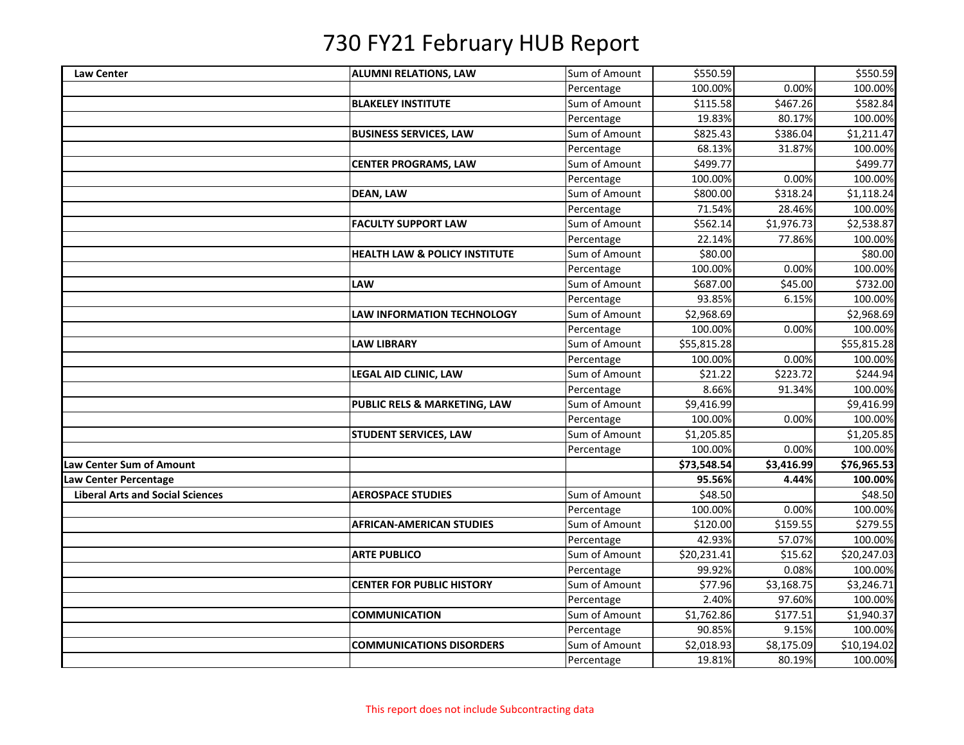| <b>Law Center</b>                       | <b>ALUMNI RELATIONS, LAW</b>             | Sum of Amount | \$550.59    |            | \$550.59    |
|-----------------------------------------|------------------------------------------|---------------|-------------|------------|-------------|
|                                         |                                          | Percentage    | 100.00%     | 0.00%      | 100.00%     |
|                                         | <b>BLAKELEY INSTITUTE</b>                | Sum of Amount | \$115.58    | \$467.26   | \$582.84    |
|                                         |                                          | Percentage    | 19.83%      | 80.17%     | 100.00%     |
|                                         | <b>BUSINESS SERVICES, LAW</b>            | Sum of Amount | \$825.43    | \$386.04   | \$1,211.47  |
|                                         |                                          | Percentage    | 68.13%      | 31.87%     | 100.00%     |
|                                         | <b>CENTER PROGRAMS, LAW</b>              | Sum of Amount | \$499.77    |            | \$499.77    |
|                                         |                                          | Percentage    | 100.00%     | 0.00%      | 100.00%     |
|                                         | <b>DEAN, LAW</b>                         | Sum of Amount | \$800.00    | \$318.24   | \$1,118.24  |
|                                         |                                          | Percentage    | 71.54%      | 28.46%     | 100.00%     |
|                                         | <b>FACULTY SUPPORT LAW</b>               | Sum of Amount | \$562.14    | \$1,976.73 | \$2,538.87  |
|                                         |                                          | Percentage    | 22.14%      | 77.86%     | 100.00%     |
|                                         | <b>HEALTH LAW &amp; POLICY INSTITUTE</b> | Sum of Amount | \$80.00     |            | \$80.00     |
|                                         |                                          | Percentage    | 100.00%     | 0.00%      | 100.00%     |
|                                         | LAW                                      | Sum of Amount | \$687.00    | \$45.00    | \$732.00    |
|                                         |                                          | Percentage    | 93.85%      | 6.15%      | 100.00%     |
|                                         | <b>LAW INFORMATION TECHNOLOGY</b>        | Sum of Amount | \$2,968.69  |            | \$2,968.69  |
|                                         |                                          | Percentage    | 100.00%     | 0.00%      | 100.00%     |
|                                         | <b>LAW LIBRARY</b>                       | Sum of Amount | \$55,815.28 |            | \$55,815.28 |
|                                         |                                          | Percentage    | 100.00%     | 0.00%      | 100.00%     |
|                                         | LEGAL AID CLINIC, LAW                    | Sum of Amount | \$21.22     | \$223.72   | \$244.94    |
|                                         |                                          | Percentage    | 8.66%       | 91.34%     | 100.00%     |
|                                         | PUBLIC RELS & MARKETING, LAW             | Sum of Amount | \$9,416.99  |            | \$9,416.99  |
|                                         |                                          | Percentage    | 100.00%     | 0.00%      | 100.00%     |
|                                         | <b>STUDENT SERVICES, LAW</b>             | Sum of Amount | \$1,205.85  |            | \$1,205.85  |
|                                         |                                          | Percentage    | 100.00%     | 0.00%      | 100.00%     |
| Law Center Sum of Amount                |                                          |               | \$73,548.54 | \$3,416.99 | \$76,965.53 |
| Law Center Percentage                   |                                          |               | 95.56%      | 4.44%      | 100.00%     |
| <b>Liberal Arts and Social Sciences</b> | <b>AEROSPACE STUDIES</b>                 | Sum of Amount | \$48.50     |            | \$48.50     |
|                                         |                                          | Percentage    | 100.00%     | 0.00%      | 100.00%     |
|                                         | <b>AFRICAN-AMERICAN STUDIES</b>          | Sum of Amount | \$120.00    | \$159.55   | \$279.55    |
|                                         |                                          | Percentage    | 42.93%      | 57.07%     | 100.00%     |
|                                         | <b>ARTE PUBLICO</b>                      | Sum of Amount | \$20,231.41 | \$15.62    | \$20,247.03 |
|                                         |                                          | Percentage    | 99.92%      | 0.08%      | 100.00%     |
|                                         | <b>CENTER FOR PUBLIC HISTORY</b>         | Sum of Amount | \$77.96     | \$3,168.75 | \$3,246.71  |
|                                         |                                          | Percentage    | 2.40%       | 97.60%     | 100.00%     |
|                                         | <b>COMMUNICATION</b>                     | Sum of Amount | \$1,762.86  | \$177.51   | \$1,940.37  |
|                                         |                                          | Percentage    | 90.85%      | 9.15%      | 100.00%     |
|                                         | <b>COMMUNICATIONS DISORDERS</b>          | Sum of Amount | \$2,018.93  | \$8,175.09 | \$10,194.02 |
|                                         |                                          | Percentage    | 19.81%      | 80.19%     | 100.00%     |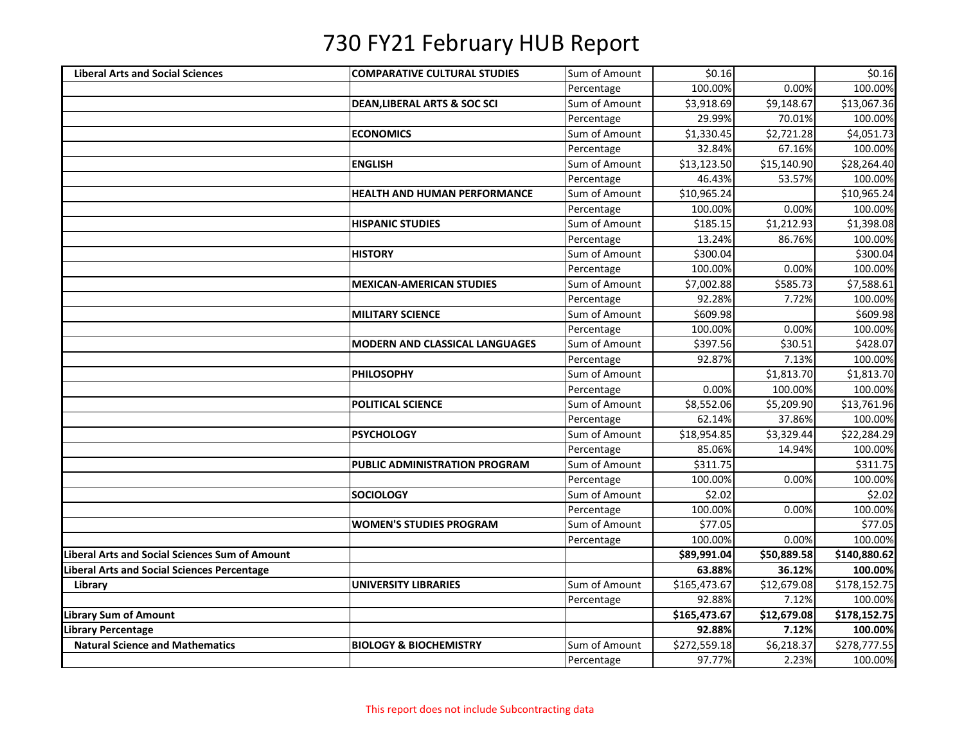| <b>Liberal Arts and Social Sciences</b>        | <b>COMPARATIVE CULTURAL STUDIES</b>     | Sum of Amount | \$0.16       |             | \$0.16       |
|------------------------------------------------|-----------------------------------------|---------------|--------------|-------------|--------------|
|                                                |                                         | Percentage    | 100.00%      | 0.00%       | 100.00%      |
|                                                | <b>DEAN, LIBERAL ARTS &amp; SOC SCI</b> | Sum of Amount | \$3,918.69   | \$9,148.67  | \$13,067.36  |
|                                                |                                         | Percentage    | 29.99%       | 70.01%      | 100.00%      |
|                                                | <b>ECONOMICS</b>                        | Sum of Amount | \$1,330.45   | \$2,721.28  | \$4,051.73   |
|                                                |                                         | Percentage    | 32.84%       | 67.16%      | 100.00%      |
|                                                | <b>ENGLISH</b>                          | Sum of Amount | \$13,123.50  | \$15,140.90 | \$28,264.40  |
|                                                |                                         | Percentage    | 46.43%       | 53.57%      | 100.00%      |
|                                                | <b>HEALTH AND HUMAN PERFORMANCE</b>     | Sum of Amount | \$10,965.24  |             | \$10,965.24  |
|                                                |                                         | Percentage    | 100.00%      | 0.00%       | 100.00%      |
|                                                | <b>HISPANIC STUDIES</b>                 | Sum of Amount | \$185.15     | \$1,212.93  | \$1,398.08   |
|                                                |                                         | Percentage    | 13.24%       | 86.76%      | 100.00%      |
|                                                | <b>HISTORY</b>                          | Sum of Amount | \$300.04     |             | \$300.04     |
|                                                |                                         | Percentage    | 100.00%      | 0.00%       | 100.00%      |
|                                                | <b>MEXICAN-AMERICAN STUDIES</b>         | Sum of Amount | \$7,002.88   | \$585.73    | \$7,588.61   |
|                                                |                                         | Percentage    | 92.28%       | 7.72%       | 100.00%      |
|                                                | <b>MILITARY SCIENCE</b>                 | Sum of Amount | \$609.98     |             | \$609.98     |
|                                                |                                         | Percentage    | 100.00%      | 0.00%       | 100.00%      |
|                                                | <b>MODERN AND CLASSICAL LANGUAGES</b>   | Sum of Amount | \$397.56     | \$30.51     | \$428.07     |
|                                                |                                         | Percentage    | 92.87%       | 7.13%       | 100.00%      |
|                                                | <b>PHILOSOPHY</b>                       | Sum of Amount |              | \$1,813.70  | \$1,813.70   |
|                                                |                                         | Percentage    | 0.00%        | 100.00%     | 100.00%      |
|                                                | <b>POLITICAL SCIENCE</b>                | Sum of Amount | \$8,552.06   | \$5,209.90  | \$13,761.96  |
|                                                |                                         | Percentage    | 62.14%       | 37.86%      | 100.00%      |
|                                                | <b>PSYCHOLOGY</b>                       | Sum of Amount | \$18,954.85  | \$3,329.44  | \$22,284.29  |
|                                                |                                         | Percentage    | 85.06%       | 14.94%      | 100.00%      |
|                                                | <b>PUBLIC ADMINISTRATION PROGRAM</b>    | Sum of Amount | \$311.75     |             | \$311.75     |
|                                                |                                         | Percentage    | 100.00%      | 0.00%       | 100.00%      |
|                                                | <b>SOCIOLOGY</b>                        | Sum of Amount | \$2.02       |             | \$2.02       |
|                                                |                                         | Percentage    | 100.00%      | 0.00%       | 100.00%      |
|                                                | <b>WOMEN'S STUDIES PROGRAM</b>          | Sum of Amount | \$77.05      |             | \$77.05      |
|                                                |                                         | Percentage    | 100.00%      | 0.00%       | 100.00%      |
| Liberal Arts and Social Sciences Sum of Amount |                                         |               | \$89,991.04  | \$50,889.58 | \$140,880.62 |
| Liberal Arts and Social Sciences Percentage    |                                         |               | 63.88%       | 36.12%      | 100.00%      |
| Library                                        | <b>UNIVERSITY LIBRARIES</b>             | Sum of Amount | \$165,473.67 | \$12,679.08 | \$178,152.75 |
|                                                |                                         | Percentage    | 92.88%       | 7.12%       | 100.00%      |
| <b>Library Sum of Amount</b>                   |                                         |               | \$165,473.67 | \$12,679.08 | \$178,152.75 |
| Library Percentage                             |                                         |               | 92.88%       | 7.12%       | 100.00%      |
| <b>Natural Science and Mathematics</b>         | <b>BIOLOGY &amp; BIOCHEMISTRY</b>       | Sum of Amount | \$272,559.18 | \$6,218.37  | \$278,777.55 |
|                                                |                                         | Percentage    | 97.77%       | 2.23%       | 100.00%      |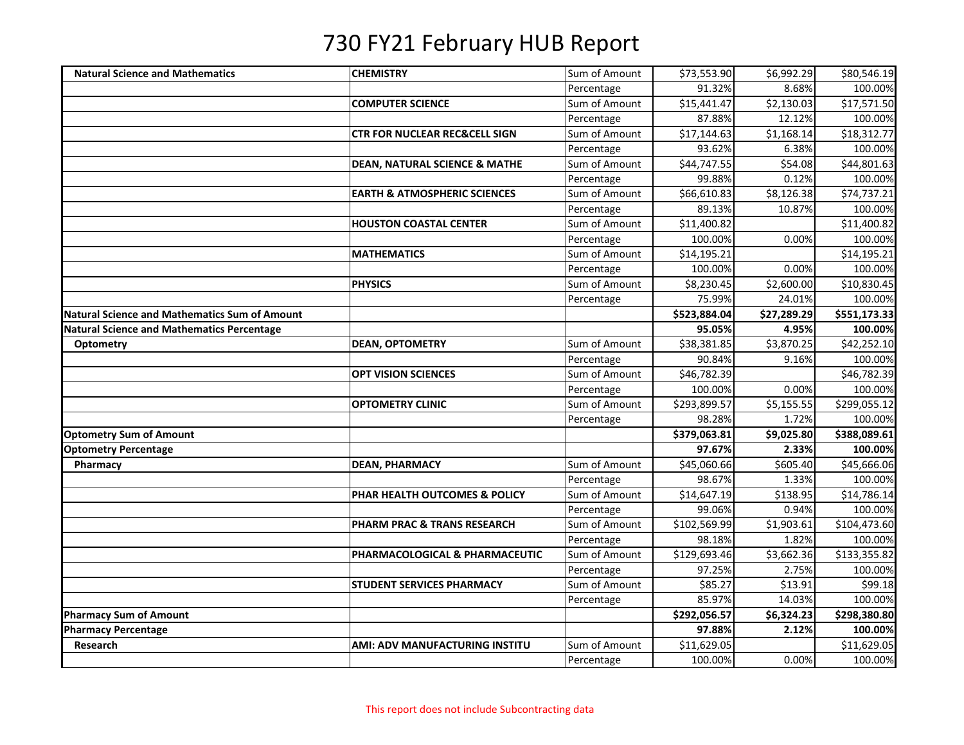| <b>Natural Science and Mathematics</b>               | <b>CHEMISTRY</b>                         | Sum of Amount | \$73,553.90  | \$6,992.29  | \$80,546.19  |
|------------------------------------------------------|------------------------------------------|---------------|--------------|-------------|--------------|
|                                                      |                                          | Percentage    | 91.32%       | 8.68%       | 100.00%      |
|                                                      | <b>COMPUTER SCIENCE</b>                  | Sum of Amount | \$15,441.47  | \$2,130.03  | \$17,571.50  |
|                                                      |                                          | Percentage    | 87.88%       | 12.12%      | 100.00%      |
|                                                      | <b>CTR FOR NUCLEAR REC&amp;CELL SIGN</b> | Sum of Amount | \$17,144.63  | \$1,168.14  | \$18,312.77  |
|                                                      |                                          | Percentage    | 93.62%       | 6.38%       | 100.00%      |
|                                                      | <b>DEAN, NATURAL SCIENCE &amp; MATHE</b> | Sum of Amount | \$44,747.55  | \$54.08     | \$44,801.63  |
|                                                      |                                          | Percentage    | 99.88%       | 0.12%       | 100.00%      |
|                                                      | <b>EARTH &amp; ATMOSPHERIC SCIENCES</b>  | Sum of Amount | \$66,610.83  | \$8,126.38  | \$74,737.21  |
|                                                      |                                          | Percentage    | 89.13%       | 10.87%      | 100.00%      |
|                                                      | <b>HOUSTON COASTAL CENTER</b>            | Sum of Amount | \$11,400.82  |             | \$11,400.82  |
|                                                      |                                          | Percentage    | 100.00%      | 0.00%       | 100.00%      |
|                                                      | <b>MATHEMATICS</b>                       | Sum of Amount | \$14,195.21  |             | \$14,195.21  |
|                                                      |                                          | Percentage    | 100.00%      | 0.00%       | 100.00%      |
|                                                      | <b>PHYSICS</b>                           | Sum of Amount | \$8,230.45   | \$2,600.00  | \$10,830.45  |
|                                                      |                                          | Percentage    | 75.99%       | 24.01%      | 100.00%      |
| <b>Natural Science and Mathematics Sum of Amount</b> |                                          |               | \$523,884.04 | \$27,289.29 | \$551,173.33 |
| <b>Natural Science and Mathematics Percentage</b>    |                                          |               | 95.05%       | 4.95%       | 100.00%      |
| <b>Optometry</b>                                     | <b>DEAN, OPTOMETRY</b>                   | Sum of Amount | \$38,381.85  | \$3,870.25  | \$42,252.10  |
|                                                      |                                          | Percentage    | 90.84%       | 9.16%       | 100.00%      |
|                                                      | <b>OPT VISION SCIENCES</b>               | Sum of Amount | \$46,782.39  |             | \$46,782.39  |
|                                                      |                                          | Percentage    | 100.00%      | 0.00%       | 100.00%      |
|                                                      | <b>OPTOMETRY CLINIC</b>                  | Sum of Amount | \$293,899.57 | \$5,155.55  | \$299,055.12 |
|                                                      |                                          | Percentage    | 98.28%       | 1.72%       | 100.00%      |
| <b>Optometry Sum of Amount</b>                       |                                          |               | \$379,063.81 | \$9,025.80  | \$388,089.61 |
| <b>Optometry Percentage</b>                          |                                          |               | 97.67%       | 2.33%       | 100.00%      |
| Pharmacy                                             | <b>DEAN, PHARMACY</b>                    | Sum of Amount | \$45,060.66  | \$605.40    | \$45,666.06  |
|                                                      |                                          | Percentage    | 98.67%       | 1.33%       | 100.00%      |
|                                                      | PHAR HEALTH OUTCOMES & POLICY            | Sum of Amount | \$14,647.19  | \$138.95    | \$14,786.14  |
|                                                      |                                          | Percentage    | 99.06%       | 0.94%       | 100.00%      |
|                                                      | PHARM PRAC & TRANS RESEARCH              | Sum of Amount | \$102,569.99 | \$1,903.61  | \$104,473.60 |
|                                                      |                                          | Percentage    | 98.18%       | 1.82%       | 100.00%      |
|                                                      | PHARMACOLOGICAL & PHARMACEUTIC           | Sum of Amount | \$129,693.46 | \$3,662.36  | \$133,355.82 |
|                                                      |                                          | Percentage    | 97.25%       | 2.75%       | 100.00%      |
|                                                      | <b>STUDENT SERVICES PHARMACY</b>         | Sum of Amount | \$85.27      | \$13.91     | \$99.18      |
|                                                      |                                          | Percentage    | 85.97%       | 14.03%      | 100.00%      |
| <b>Pharmacy Sum of Amount</b>                        |                                          |               | \$292,056.57 | \$6,324.23  | \$298,380.80 |
| <b>Pharmacy Percentage</b>                           |                                          |               | 97.88%       | 2.12%       | 100.00%      |
| Research                                             | AMI: ADV MANUFACTURING INSTITU           | Sum of Amount | \$11,629.05  |             | \$11,629.05  |
|                                                      |                                          | Percentage    | 100.00%      | 0.00%       | 100.00%      |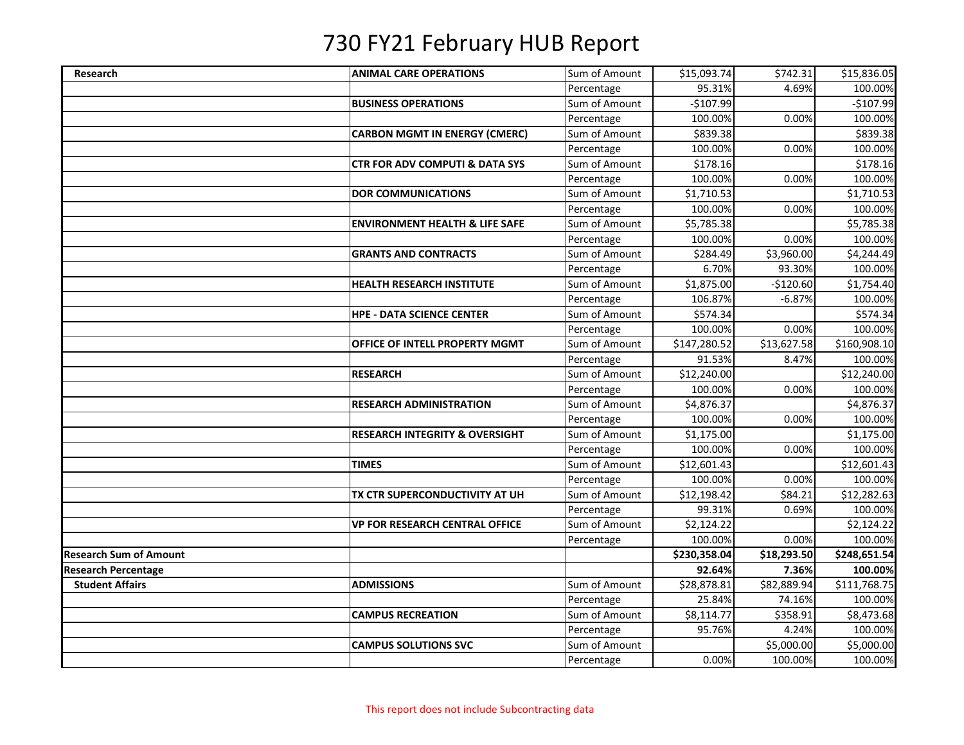| Research                      | <b>ANIMAL CARE OPERATIONS</b>             | Sum of Amount | \$15,093.74  | \$742.31    | \$15,836.05  |
|-------------------------------|-------------------------------------------|---------------|--------------|-------------|--------------|
|                               |                                           | Percentage    | 95.31%       | 4.69%       | 100.00%      |
|                               | <b>BUSINESS OPERATIONS</b>                | Sum of Amount | $-$107.99$   |             | $-$107.99$   |
|                               |                                           | Percentage    | 100.00%      | 0.00%       | 100.00%      |
|                               | <b>CARBON MGMT IN ENERGY (CMERC)</b>      | Sum of Amount | \$839.38     |             | \$839.38     |
|                               |                                           | Percentage    | 100.00%      | 0.00%       | 100.00%      |
|                               | <b>CTR FOR ADV COMPUTI &amp; DATA SYS</b> | Sum of Amount | \$178.16     |             | \$178.16     |
|                               |                                           | Percentage    | 100.00%      | 0.00%       | 100.00%      |
|                               | <b>DOR COMMUNICATIONS</b>                 | Sum of Amount | \$1,710.53   |             | \$1,710.53   |
|                               |                                           | Percentage    | 100.00%      | 0.00%       | 100.00%      |
|                               | <b>ENVIRONMENT HEALTH &amp; LIFE SAFE</b> | Sum of Amount | \$5,785.38   |             | \$5,785.38   |
|                               |                                           | Percentage    | 100.00%      | 0.00%       | 100.00%      |
|                               | <b>GRANTS AND CONTRACTS</b>               | Sum of Amount | \$284.49     | \$3,960.00  | \$4,244.49   |
|                               |                                           | Percentage    | 6.70%        | 93.30%      | 100.00%      |
|                               | <b>HEALTH RESEARCH INSTITUTE</b>          | Sum of Amount | \$1,875.00   | $-$120.60$  | \$1,754.40   |
|                               |                                           | Percentage    | 106.87%      | $-6.87%$    | 100.00%      |
|                               | <b>HPE - DATA SCIENCE CENTER</b>          | Sum of Amount | \$574.34     |             | \$574.34     |
|                               |                                           | Percentage    | 100.00%      | 0.00%       | 100.00%      |
|                               | OFFICE OF INTELL PROPERTY MGMT            | Sum of Amount | \$147,280.52 | \$13,627.58 | \$160,908.10 |
|                               |                                           | Percentage    | 91.53%       | 8.47%       | 100.00%      |
|                               | <b>RESEARCH</b>                           | Sum of Amount | \$12,240.00  |             | \$12,240.00  |
|                               |                                           | Percentage    | 100.00%      | 0.00%       | 100.00%      |
|                               | <b>RESEARCH ADMINISTRATION</b>            | Sum of Amount | \$4,876.37   |             | \$4,876.37   |
|                               |                                           | Percentage    | 100.00%      | 0.00%       | 100.00%      |
|                               | <b>RESEARCH INTEGRITY &amp; OVERSIGHT</b> | Sum of Amount | \$1,175.00   |             | \$1,175.00   |
|                               |                                           | Percentage    | 100.00%      | 0.00%       | 100.00%      |
|                               | <b>TIMES</b>                              | Sum of Amount | \$12,601.43  |             | \$12,601.43  |
|                               |                                           | Percentage    | 100.00%      | 0.00%       | 100.00%      |
|                               | TX CTR SUPERCONDUCTIVITY AT UH            | Sum of Amount | \$12,198.42  | \$84.21     | \$12,282.63  |
|                               |                                           | Percentage    | 99.31%       | 0.69%       | 100.00%      |
|                               | <b>VP FOR RESEARCH CENTRAL OFFICE</b>     | Sum of Amount | \$2,124.22   |             | \$2,124.22   |
|                               |                                           | Percentage    | 100.00%      | 0.00%       | 100.00%      |
| <b>Research Sum of Amount</b> |                                           |               | \$230,358.04 | \$18,293.50 | \$248,651.54 |
| Research Percentage           |                                           |               | 92.64%       | 7.36%       | 100.00%      |
| <b>Student Affairs</b>        | <b>ADMISSIONS</b>                         | Sum of Amount | \$28,878.81  | \$82,889.94 | \$111,768.75 |
|                               |                                           | Percentage    | 25.84%       | 74.16%      | 100.00%      |
|                               | <b>CAMPUS RECREATION</b>                  | Sum of Amount | \$8,114.77   | \$358.91    | \$8,473.68   |
|                               |                                           | Percentage    | 95.76%       | 4.24%       | 100.00%      |
|                               | <b>CAMPUS SOLUTIONS SVC</b>               | Sum of Amount |              | \$5,000.00  | \$5,000.00   |
|                               |                                           | Percentage    | 0.00%        | 100.00%     | 100.00%      |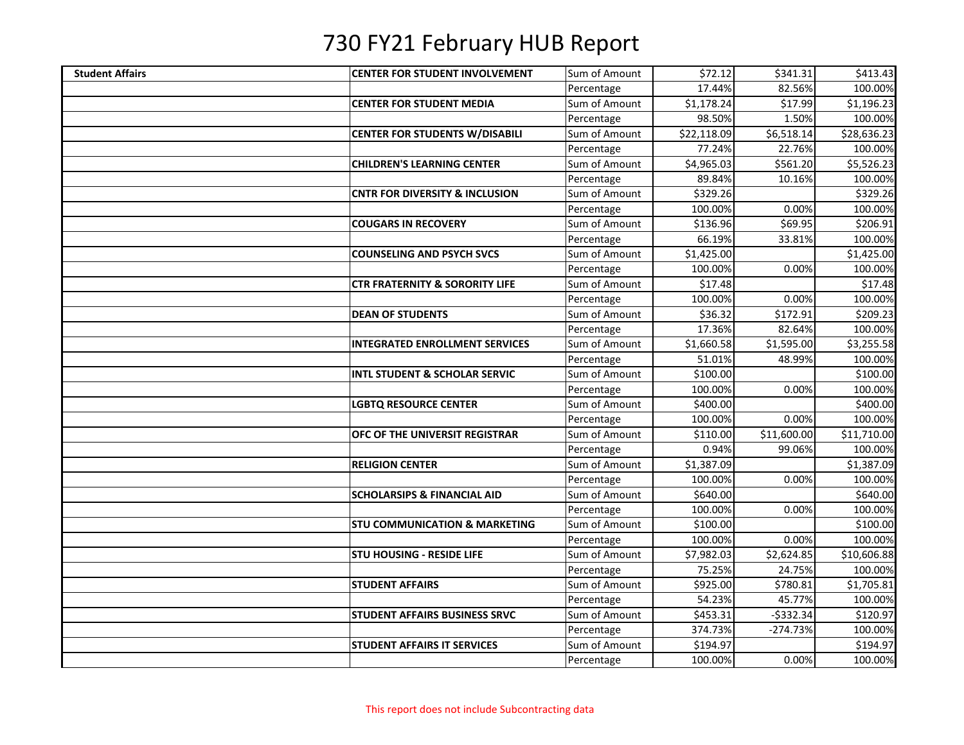| <b>Student Affairs</b> | <b>CENTER FOR STUDENT INVOLVEMENT</b>     | Sum of Amount | \$72.12     | \$341.31    | \$413.43    |
|------------------------|-------------------------------------------|---------------|-------------|-------------|-------------|
|                        |                                           | Percentage    | 17.44%      | 82.56%      | 100.00%     |
|                        | <b>CENTER FOR STUDENT MEDIA</b>           | Sum of Amount | \$1,178.24  | \$17.99     | \$1,196.23  |
|                        |                                           | Percentage    | 98.50%      | 1.50%       | 100.00%     |
|                        | <b>CENTER FOR STUDENTS W/DISABILI</b>     | Sum of Amount | \$22,118.09 | \$6,518.14  | \$28,636.23 |
|                        |                                           | Percentage    | 77.24%      | 22.76%      | 100.00%     |
|                        | <b>CHILDREN'S LEARNING CENTER</b>         | Sum of Amount | \$4,965.03  | \$561.20    | \$5,526.23  |
|                        |                                           | Percentage    | 89.84%      | 10.16%      | 100.00%     |
|                        | <b>CNTR FOR DIVERSITY &amp; INCLUSION</b> | Sum of Amount | \$329.26    |             | \$329.26    |
|                        |                                           | Percentage    | 100.00%     | 0.00%       | 100.00%     |
|                        | <b>COUGARS IN RECOVERY</b>                | Sum of Amount | \$136.96    | \$69.95     | \$206.91    |
|                        |                                           | Percentage    | 66.19%      | 33.81%      | 100.00%     |
|                        | <b>COUNSELING AND PSYCH SVCS</b>          | Sum of Amount | \$1,425.00  |             | \$1,425.00  |
|                        |                                           | Percentage    | 100.00%     | 0.00%       | 100.00%     |
|                        | <b>CTR FRATERNITY &amp; SORORITY LIFE</b> | Sum of Amount | \$17.48     |             | \$17.48     |
|                        |                                           | Percentage    | 100.00%     | 0.00%       | 100.00%     |
|                        | <b>DEAN OF STUDENTS</b>                   | Sum of Amount | \$36.32     | \$172.91    | \$209.23    |
|                        |                                           | Percentage    | 17.36%      | 82.64%      | 100.00%     |
|                        | <b>INTEGRATED ENROLLMENT SERVICES</b>     | Sum of Amount | \$1,660.58  | \$1,595.00  | \$3,255.58  |
|                        |                                           | Percentage    | 51.01%      | 48.99%      | 100.00%     |
|                        | <b>INTL STUDENT &amp; SCHOLAR SERVIC</b>  | Sum of Amount | \$100.00    |             | \$100.00    |
|                        |                                           | Percentage    | 100.00%     | 0.00%       | 100.00%     |
|                        | <b>LGBTQ RESOURCE CENTER</b>              | Sum of Amount | \$400.00    |             | \$400.00    |
|                        |                                           | Percentage    | 100.00%     | 0.00%       | 100.00%     |
|                        | OFC OF THE UNIVERSIT REGISTRAR            | Sum of Amount | \$110.00    | \$11,600.00 | \$11,710.00 |
|                        |                                           | Percentage    | 0.94%       | 99.06%      | 100.00%     |
|                        | <b>RELIGION CENTER</b>                    | Sum of Amount | \$1,387.09  |             | \$1,387.09  |
|                        |                                           | Percentage    | 100.00%     | 0.00%       | 100.00%     |
|                        | <b>SCHOLARSIPS &amp; FINANCIAL AID</b>    | Sum of Amount | \$640.00    |             | \$640.00    |
|                        |                                           | Percentage    | 100.00%     | 0.00%       | 100.00%     |
|                        | <b>STU COMMUNICATION &amp; MARKETING</b>  | Sum of Amount | \$100.00    |             | \$100.00    |
|                        |                                           | Percentage    | 100.00%     | 0.00%       | 100.00%     |
|                        | <b>STU HOUSING - RESIDE LIFE</b>          | Sum of Amount | \$7,982.03  | \$2,624.85  | \$10,606.88 |
|                        |                                           | Percentage    | 75.25%      | 24.75%      | 100.00%     |
|                        | <b>STUDENT AFFAIRS</b>                    | Sum of Amount | \$925.00    | \$780.81    | \$1,705.81  |
|                        |                                           | Percentage    | 54.23%      | 45.77%      | 100.00%     |
|                        | <b>STUDENT AFFAIRS BUSINESS SRVC</b>      | Sum of Amount | \$453.31    | $-5332.34$  | \$120.97    |
|                        |                                           | Percentage    | 374.73%     | $-274.73%$  | 100.00%     |
|                        | <b>STUDENT AFFAIRS IT SERVICES</b>        | Sum of Amount | \$194.97    |             | \$194.97    |
|                        |                                           | Percentage    | 100.00%     | 0.00%       | 100.00%     |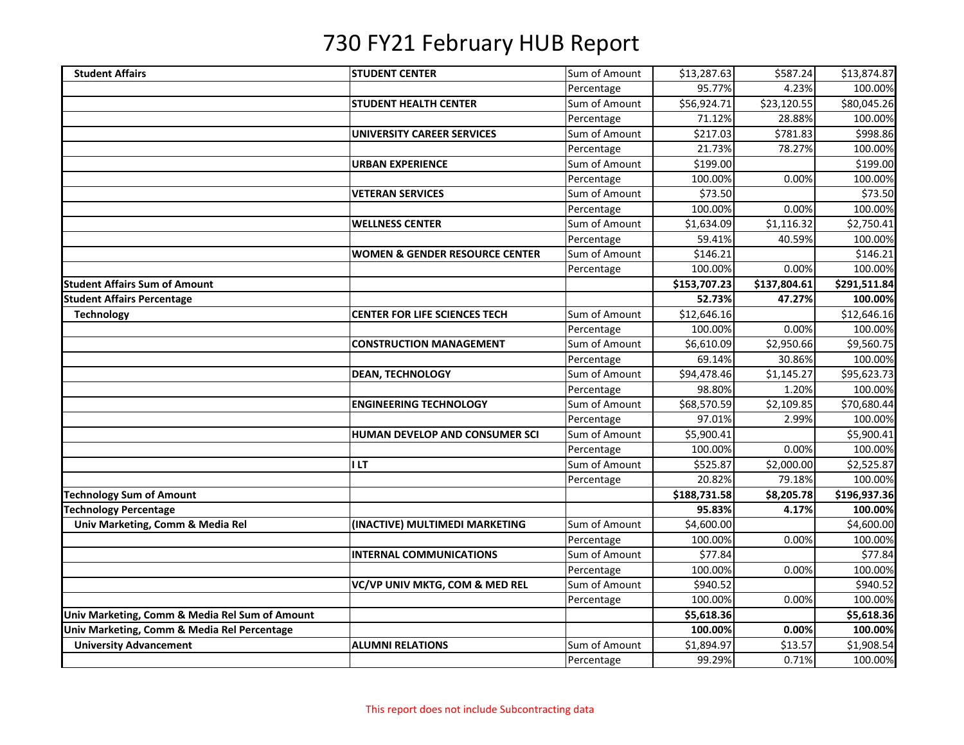| <b>Student Affairs</b>                         | <b>STUDENT CENTER</b>                     | Sum of Amount | \$13,287.63  | \$587.24     | \$13,874.87  |
|------------------------------------------------|-------------------------------------------|---------------|--------------|--------------|--------------|
|                                                |                                           | Percentage    | 95.77%       | 4.23%        | 100.00%      |
|                                                | <b>STUDENT HEALTH CENTER</b>              | Sum of Amount | \$56,924.71  | \$23,120.55  | \$80,045.26  |
|                                                |                                           | Percentage    | 71.12%       | 28.88%       | 100.00%      |
|                                                | <b>UNIVERSITY CAREER SERVICES</b>         | Sum of Amount | \$217.03     | \$781.83     | \$998.86     |
|                                                |                                           | Percentage    | 21.73%       | 78.27%       | 100.00%      |
|                                                | <b>URBAN EXPERIENCE</b>                   | Sum of Amount | \$199.00     |              | \$199.00     |
|                                                |                                           | Percentage    | 100.00%      | 0.00%        | 100.00%      |
|                                                | <b>VETERAN SERVICES</b>                   | Sum of Amount | \$73.50      |              | \$73.50      |
|                                                |                                           | Percentage    | 100.00%      | 0.00%        | 100.00%      |
|                                                | <b>WELLNESS CENTER</b>                    | Sum of Amount | \$1,634.09   | \$1,116.32   | \$2,750.41   |
|                                                |                                           | Percentage    | 59.41%       | 40.59%       | 100.00%      |
|                                                | <b>WOMEN &amp; GENDER RESOURCE CENTER</b> | Sum of Amount | \$146.21     |              | \$146.21     |
|                                                |                                           | Percentage    | 100.00%      | 0.00%        | 100.00%      |
| <b>Student Affairs Sum of Amount</b>           |                                           |               | \$153,707.23 | \$137,804.61 | \$291,511.84 |
| <b>Student Affairs Percentage</b>              |                                           |               | 52.73%       | 47.27%       | 100.00%      |
| <b>Technology</b>                              | <b>CENTER FOR LIFE SCIENCES TECH</b>      | Sum of Amount | \$12,646.16  |              | \$12,646.16  |
|                                                |                                           | Percentage    | 100.00%      | 0.00%        | 100.00%      |
|                                                | <b>CONSTRUCTION MANAGEMENT</b>            | Sum of Amount | \$6,610.09   | \$2,950.66   | \$9,560.75   |
|                                                |                                           | Percentage    | 69.14%       | 30.86%       | 100.00%      |
|                                                | <b>DEAN, TECHNOLOGY</b>                   | Sum of Amount | \$94,478.46  | \$1,145.27   | \$95,623.73  |
|                                                |                                           | Percentage    | 98.80%       | 1.20%        | 100.00%      |
|                                                | <b>ENGINEERING TECHNOLOGY</b>             | Sum of Amount | \$68,570.59  | \$2,109.85   | \$70,680.44  |
|                                                |                                           | Percentage    | 97.01%       | 2.99%        | 100.00%      |
|                                                | HUMAN DEVELOP AND CONSUMER SCI            | Sum of Amount | \$5,900.41   |              | \$5,900.41   |
|                                                |                                           | Percentage    | 100.00%      | 0.00%        | 100.00%      |
|                                                | <b>ILT</b>                                | Sum of Amount | \$525.87     | \$2,000.00   | \$2,525.87   |
|                                                |                                           | Percentage    | 20.82%       | 79.18%       | 100.00%      |
| <b>Technology Sum of Amount</b>                |                                           |               | \$188,731.58 | \$8,205.78   | \$196,937.36 |
| <b>Technology Percentage</b>                   |                                           |               | 95.83%       | 4.17%        | 100.00%      |
| Univ Marketing, Comm & Media Rel               | (INACTIVE) MULTIMEDI MARKETING            | Sum of Amount | \$4,600.00   |              | \$4,600.00   |
|                                                |                                           | Percentage    | 100.00%      | 0.00%        | 100.00%      |
|                                                | <b>INTERNAL COMMUNICATIONS</b>            | Sum of Amount | \$77.84      |              | \$77.84      |
|                                                |                                           | Percentage    | 100.00%      | 0.00%        | 100.00%      |
|                                                | VC/VP UNIV MKTG, COM & MED REL            | Sum of Amount | \$940.52     |              | \$940.52     |
|                                                |                                           | Percentage    | 100.00%      | 0.00%        | 100.00%      |
| Univ Marketing, Comm & Media Rel Sum of Amount |                                           |               | \$5,618.36   |              | \$5,618.36   |
| Univ Marketing, Comm & Media Rel Percentage    |                                           |               | 100.00%      | 0.00%        | 100.00%      |
| <b>University Advancement</b>                  | <b>ALUMNI RELATIONS</b>                   | Sum of Amount | \$1,894.97   | \$13.57      | \$1,908.54   |
|                                                |                                           | Percentage    | 99.29%       | 0.71%        | 100.00%      |